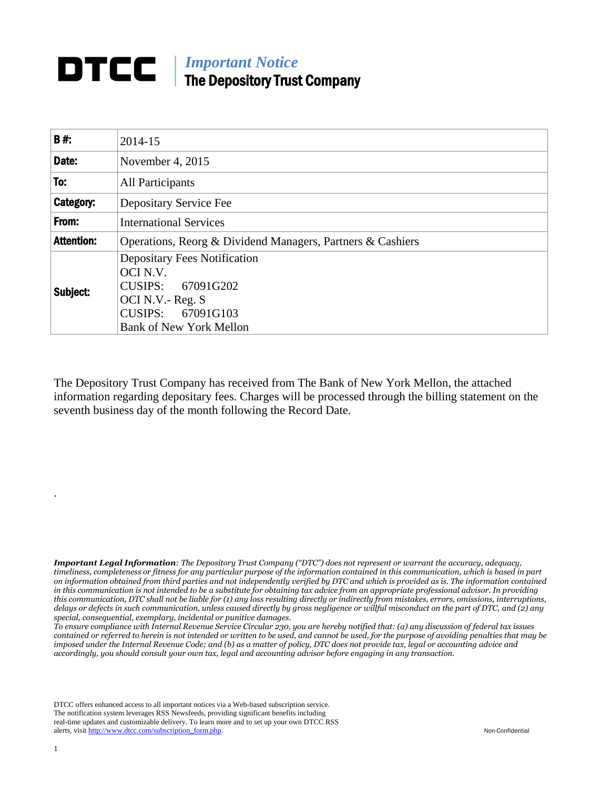## **DTCC** | *Important Notice* The Depository Trust Company

| <b>B#:</b>        | 2014-15                                                                                                                                         |  |
|-------------------|-------------------------------------------------------------------------------------------------------------------------------------------------|--|
| Date:             | November 4, 2015                                                                                                                                |  |
| To:               | All Participants                                                                                                                                |  |
| Category:         | Depositary Service Fee                                                                                                                          |  |
| From:             | <b>International Services</b>                                                                                                                   |  |
| <b>Attention:</b> | Operations, Reorg & Dividend Managers, Partners & Cashiers                                                                                      |  |
| Subject:          | <b>Depositary Fees Notification</b><br>OCI N.V.<br>CUSIPS: 67091G202<br>OCI N.V.- Reg. S<br>CUSIPS: 67091G103<br><b>Bank of New York Mellon</b> |  |

The Depository Trust Company has received from The Bank of New York Mellon, the attached information regarding depositary fees. Charges will be processed through the billing statement on the seventh business day of the month following the Record Date.

*Important Legal Information: The Depository Trust Company ("DTC") does not represent or warrant the accuracy, adequacy, timeliness, completeness or fitness for any particular purpose of the information contained in this communication, which is based in part on information obtained from third parties and not independently verified by DTC and which is provided as is. The information contained in this communication is not intended to be a substitute for obtaining tax advice from an appropriate professional advisor. In providing this communication, DTC shall not be liable for (1) any loss resulting directly or indirectly from mistakes, errors, omissions, interruptions, delays or defects in such communication, unless caused directly by gross negligence or willful misconduct on the part of DTC, and (2) any special, consequential, exemplary, incidental or punitive damages.*

*To ensure compliance with Internal Revenue Service Circular 230, you are hereby notified that: (a) any discussion of federal tax issues contained or referred to herein is not intended or written to be used, and cannot be used, for the purpose of avoiding penalties that may be imposed under the Internal Revenue Code; and (b) as a matter of policy, DTC does not provide tax, legal or accounting advice and accordingly, you should consult your own tax, legal and accounting advisor before engaging in any transaction.*

DTCC offers enhanced access to all important notices via a Web-based subscription service. The notification system leverages RSS Newsfeeds, providing significant benefits including real-time updates and customizable delivery. To learn more and to set up your own DTCC RSS alerts, visit [http://www.dtcc.com/subscription\\_form.php.](http://www.dtcc.com/subscription_form.php) Non-Confidential

.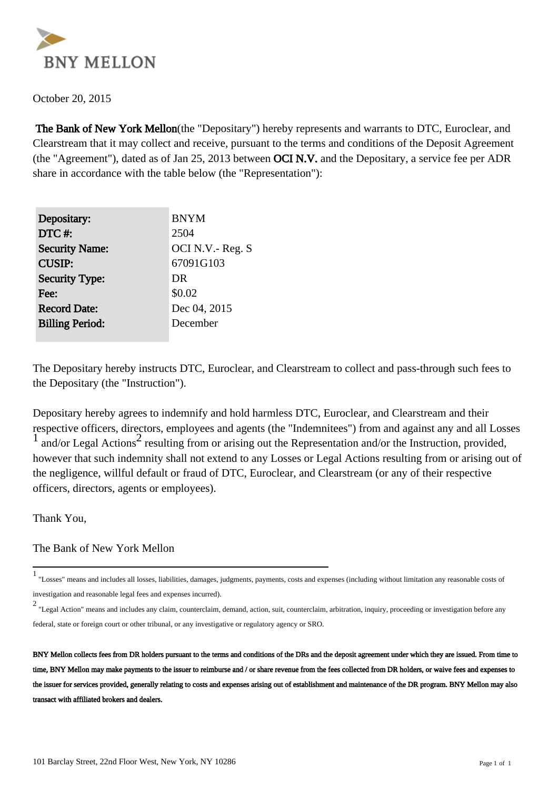

October 20, 2015

 The Bank of New York Mellon(the "Depositary") hereby represents and warrants to DTC, Euroclear, and Clearstream that it may collect and receive, pursuant to the terms and conditions of the Deposit Agreement (the "Agreement"), dated as of Jan 25, 2013 between OCI N.V. and the Depositary, a service fee per ADR share in accordance with the table below (the "Representation"):

| Depositary:            | <b>BNYM</b>     |
|------------------------|-----------------|
| DTC#:                  | 2504            |
| <b>Security Name:</b>  | OCI N.V.-Reg. S |
| <b>CUSIP:</b>          | 67091G103       |
| <b>Security Type:</b>  | DR              |
| Fee:                   | \$0.02          |
| <b>Record Date:</b>    | Dec 04, 2015    |
| <b>Billing Period:</b> | December        |
|                        |                 |

The Depositary hereby instructs DTC, Euroclear, and Clearstream to collect and pass-through such fees to the Depositary (the "Instruction").

Depositary hereby agrees to indemnify and hold harmless DTC, Euroclear, and Clearstream and their respective officers, directors, employees and agents (the "Indemnitees") from and against any and all Losses <sup>1</sup> and/or Legal Actions<sup>2</sup> resulting from or arising out the Representation and/or the Instruction, provided, however that such indemnity shall not extend to any Losses or Legal Actions resulting from or arising out of the negligence, willful default or fraud of DTC, Euroclear, and Clearstream (or any of their respective officers, directors, agents or employees).

Thank You,

The Bank of New York Mellon

<sup>1</sup> "Losses" means and includes all losses, liabilities, damages, judgments, payments, costs and expenses (including without limitation any reasonable costs of investigation and reasonable legal fees and expenses incurred).

<sup>2</sup> "Legal Action" means and includes any claim, counterclaim, demand, action, suit, counterclaim, arbitration, inquiry, proceeding or investigation before any federal, state or foreign court or other tribunal, or any investigative or regulatory agency or SRO.

BNY Mellon collects fees from DR holders pursuant to the terms and conditions of the DRs and the deposit agreement under which they are issued. From time to time, BNY Mellon may make payments to the issuer to reimburse and / or share revenue from the fees collected from DR holders, or waive fees and expenses to the issuer for services provided, generally relating to costs and expenses arising out of establishment and maintenance of the DR program. BNY Mellon may also transact with affiliated brokers and dealers.